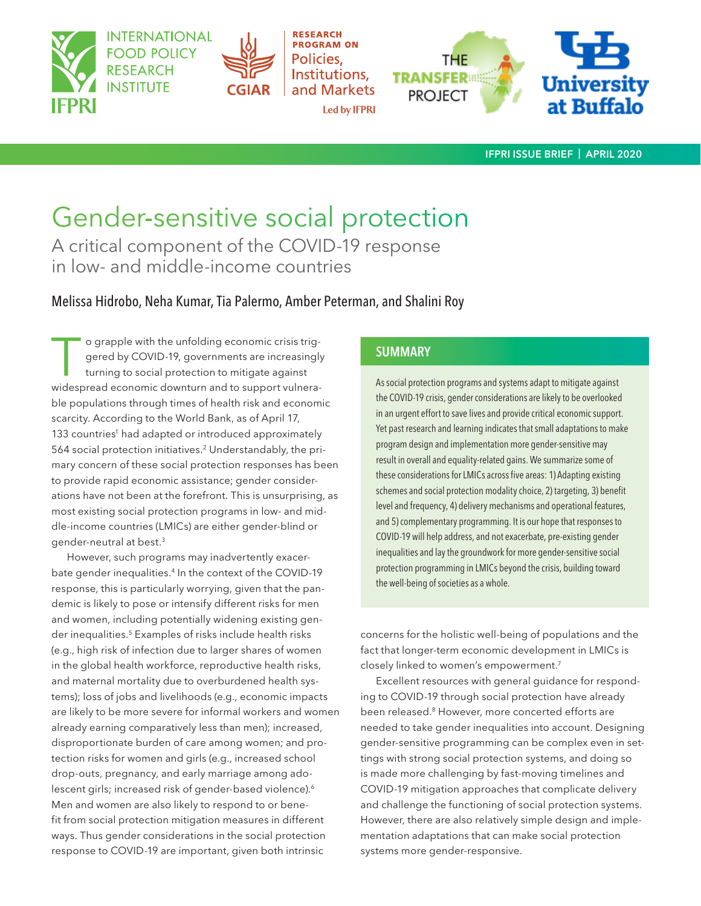<span id="page-0-0"></span>



**RESEARCH** 

Policies.

**PROGRAM ON** 



# Gender-sensitive social protection

A critical component of the COVID-19 response in low- and middle-income countries

#### Melissa Hidrobo, Neha Kumar, Tia Palermo, Amber Peterman, and Shalini Roy

o grapple with the unfolding economic crisis trig-<br>gered by COVID-19, governments are increasingly<br>turning to social protection to mitigate against<br>wideoward economic downtum on the support wileow gered by COVID-19, governments are increasingly widespread economic downturn and to support vulnerable populations through times of health risk and economic scarcity. According to the World Bank, as of April 17, 133 countries<sup>1</sup> had adapted or introduced approximately 564 social protection initiatives.<sup>2</sup> Understandably, the primary concern of these social protection responses has been to provide rapid economic assistance; gender considerations have not been at the forefront. This is unsurprising, as most existing social protection programs in low- and middle-income countries (LMICs) are either gender-blind or gender-neutral at best[.3](#page-6-0)

However, such programs may inadvertently exacerbate gender inequalities.<sup>4</sup> In the context of the COVID-19 response, this is particularly worrying, given that the pandemic is likely to pose or intensify different risks for men and women, including potentially widening existing gender inequalities.<sup>5</sup> Examples of risks include health risks (e.g., high risk of infection due to larger shares of women in the global health workforce, reproductive health risks, and maternal mortality due to overburdened health systems); loss of jobs and livelihoods (e.g., economic impacts are likely to be more severe for informal workers and women already earning comparatively less than men); increased, disproportionate burden of care among women; and protection risks for women and girls (e.g., increased school drop-outs, pregnancy, and early marriage among ado-lescent girls; increased risk of gender-based violence).<sup>[6](#page-6-0)</sup> Men and women are also likely to respond to or benefit from social protection mitigation measures in different ways. Thus gender considerations in the social protection response to COVID-19 are important, given both intrinsic

#### **SUMMARY**

As social protection programs and systems adapt to mitigate against the COVID-19 crisis, gender considerations are likely to be overlooked in an urgent effort to save lives and provide critical economic support. Yet past research and learning indicates that small adaptations to make program design and implementation more gender-sensitive may result in overall and equality-related gains. We summarize some of these considerations for LMICs across five areas: 1) Adapting existing schemes and social protection modality choice, 2) targeting, 3) benefit level and frequency, 4) delivery mechanisms and operational features, and 5) complementary programming. It is our hope that responses to COVID-19 will help address, and not exacerbate, pre-existing gender inequalities and lay the groundwork for more gender-sensitive social protection programming in LMICs beyond the crisis, building toward the well-being of societies as a whole.

concerns for the holistic well-being of populations and the fact that longer-term economic development in LMICs is closely linked to women's empowerment[.7](#page-6-0)

Excellent resources with general guidance for responding to COVID-19 through social protection have already been released.<sup>8</sup> However, more concerted efforts are needed to take gender inequalities into account. Designing gender-sensitive programming can be complex even in settings with strong social protection systems, and doing so is made more challenging by fast-moving timelines and COVID-19 mitigation approaches that complicate delivery and challenge the functioning of social protection systems. However, there are also relatively simple design and implementation adaptations that can make social protection systems more gender-responsive.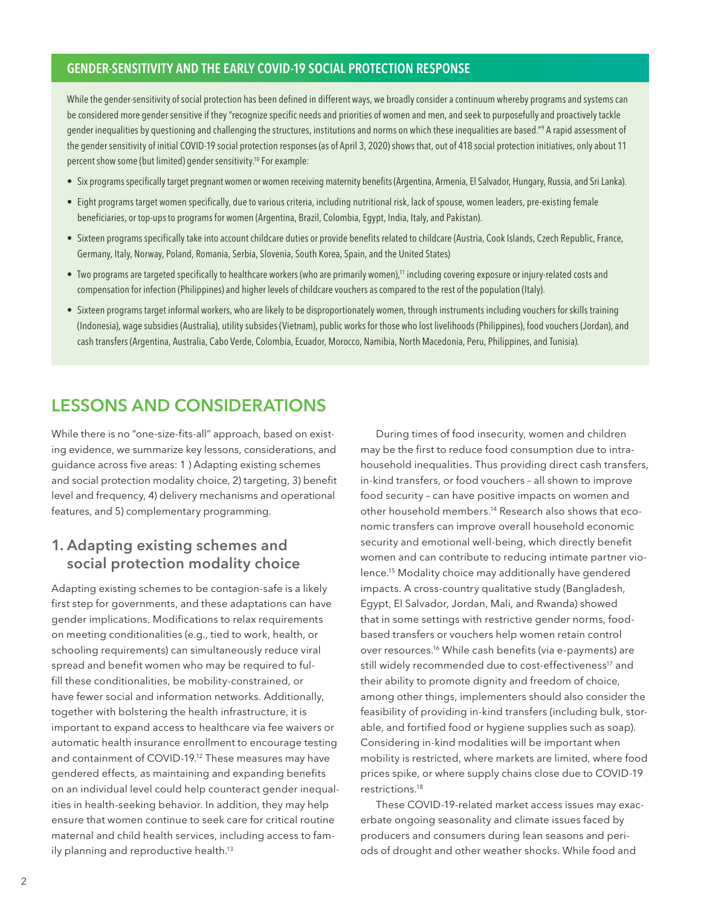#### <span id="page-1-0"></span>GENDER-SENSITIVITY AND THE EARLY COVID-19 SOCIAL PROTECTION RESPONSE

While the gender-sensitivity of social protection has been defined in different ways, we broadly consider a continuum whereby programs and systems can be considered more gender sensitive if they "recognize specific needs and priorities of women and men, and seek to purposefully and proactively tackle gender inequalities by questioning and challenging the structures, institutions and norms on which these inequalities are based."? A rapid assessment of the gender sensitivity of initial COVID-19 social protection responses (as of April 3, 2020) shows that, out of 418 social protection initiatives, only about 11 percent show some (but limited) gender sensitivity[.10](#page-6-0) For example:

- Six programs specifically target pregnant women or women receiving maternity benefits (Argentina, Armenia, El Salvador, Hungary, Russia, and Sri Lanka).
- Eight programs target women specifically, due to various criteria, including nutritional risk, lack of spouse, women leaders, pre-existing female beneficiaries, or top-ups to programs for women (Argentina, Brazil, Colombia, Egypt, India, Italy, and Pakistan).
- Sixteen programs specifically take into account childcare duties or provide benefits related to childcare (Austria, Cook Islands, Czech Republic, France, Germany, Italy, Norway, Poland, Romania, Serbia, Slovenia, South Korea, Spain, and the United States)
- Two programs are targeted specifically to healthcare workers (who are primarily women),<sup>11</sup> including covering exposure or injury-related costs and compensation for infection (Philippines) and higher levels of childcare vouchers as compared to the rest of the population (Italy).
- Sixteen programs target informal workers, who are likely to be disproportionately women, through instruments including vouchers for skills training (Indonesia), wage subsidies (Australia), utility subsides (Vietnam), public works for those who lost livelihoods (Philippines), food vouchers (Jordan), and cash transfers (Argentina, Australia, Cabo Verde, Colombia, Ecuador, Morocco, Namibia, North Macedonia, Peru, Philippines, and Tunisia).

# LESSONS AND CONSIDERATIONS

While there is no "one-size-fits-all" approach, based on existing evidence, we summarize key lessons, considerations, and guidance across five areas: 1 ) Adapting existing schemes and social protection modality choice, 2) targeting, 3) benefit level and frequency, 4) delivery mechanisms and operational features, and 5) complementary programming.

### 1. Adapting existing schemes and social protection modality choice

Adapting existing schemes to be contagion-safe is a likely first step for governments, and these adaptations can have gender implications. Modifications to relax requirements on meeting conditionalities (e.g., tied to work, health, or schooling requirements) can simultaneously reduce viral spread and benefit women who may be required to fulfill these conditionalities, be mobility-constrained, or have fewer social and information networks. Additionally, together with bolstering the health infrastructure, it is important to expand access to healthcare via fee waivers or automatic health insurance enrollment to encourage testing and containment of COVID-19[.12](#page-6-0) These measures may have gendered effects, as maintaining and expanding benefits on an individual level could help counteract gender inequalities in health-seeking behavior. In addition, they may help ensure that women continue to seek care for critical routine maternal and child health services, including access to family planning and reproductive health.<sup>13</sup>

During times of food insecurity, women and children may be the first to reduce food consumption due to intrahousehold inequalities. Thus providing direct cash transfers, in-kind transfers, or food vouchers – all shown to improve food security – can have positive impacts on women and other household members[.14](#page-6-0) Research also shows that economic transfers can improve overall household economic security and emotional well-being, which directly benefit women and can contribute to reducing intimate partner violence[.15](#page-6-0) Modality choice may additionally have gendered impacts. A cross-country qualitative study (Bangladesh, Egypt, El Salvador, Jordan, Mali, and Rwanda) showed that in some settings with restrictive gender norms, foodbased transfers or vouchers help women retain control over resources[.16](#page-6-0) While cash benefits (via e-payments) are still widely recommended due to cost-effectiveness<sup>17</sup> and their ability to promote dignity and freedom of choice, among other things, implementers should also consider the feasibility of providing in-kind transfers (including bulk, storable, and fortified food or hygiene supplies such as soap). Considering in-kind modalities will be important when mobility is restricted, where markets are limited, where food prices spike, or where supply chains close due to COVID-19 restrictions[.18](#page-6-0)

These COVID-19-related market access issues may exacerbate ongoing seasonality and climate issues faced by producers and consumers during lean seasons and periods of drought and other weather shocks. While food and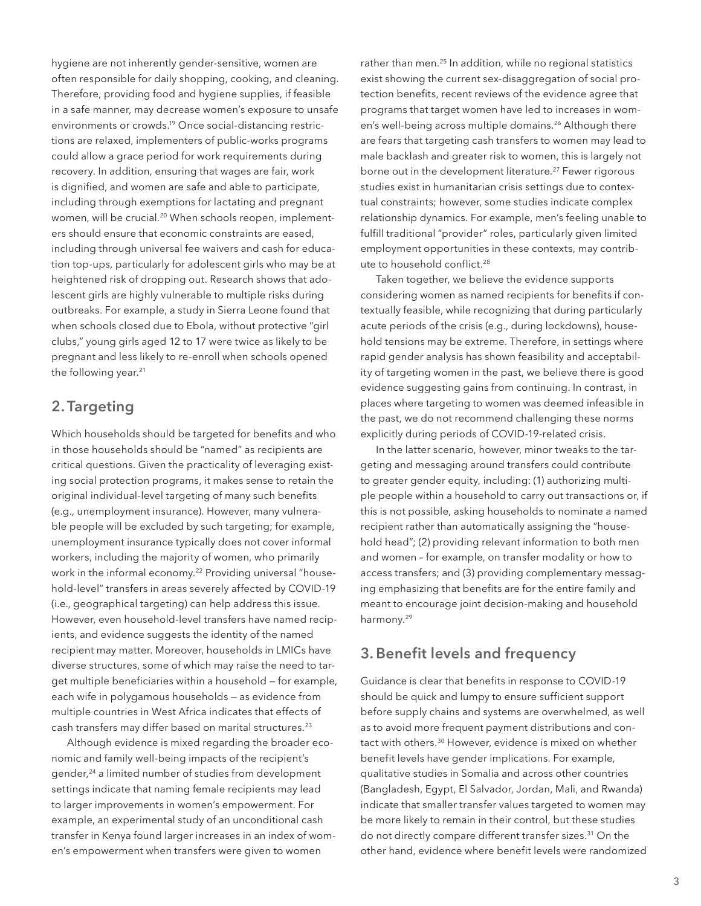<span id="page-2-0"></span>hygiene are not inherently gender-sensitive, women are often responsible for daily shopping, cooking, and cleaning. Therefore, providing food and hygiene supplies, if feasible in a safe manner, may decrease women's exposure to unsafe environments or crowds[.19](#page-6-0) Once social-distancing restrictions are relaxed, implementers of public-works programs could allow a grace period for work requirements during recovery. In addition, ensuring that wages are fair, work is dignified, and women are safe and able to participate, including through exemptions for lactating and pregnant women, will be crucial.<sup>20</sup> When schools reopen, implementers should ensure that economic constraints are eased, including through universal fee waivers and cash for education top-ups, particularly for adolescent girls who may be at heightened risk of dropping out. Research shows that adolescent girls are highly vulnerable to multiple risks during outbreaks. For example, a study in Sierra Leone found that when schools closed due to Ebola, without protective "girl clubs," young girls aged 12 to 17 were twice as likely to be pregnant and less likely to re-enroll when schools opened the following year.<sup>[21](#page-6-0)</sup>

#### 2. Targeting

Which households should be targeted for benefits and who in those households should be "named" as recipients are critical questions. Given the practicality of leveraging existing social protection programs, it makes sense to retain the original individual-level targeting of many such benefits (e.g., unemployment insurance). However, many vulnerable people will be excluded by such targeting; for example, unemployment insurance typically does not cover informal workers, including the majority of women, who primarily work in the informal economy.<sup>[22](#page-6-0)</sup> Providing universal "household-level" transfers in areas severely affected by COVID-19 (i.e., geographical targeting) can help address this issue. However, even household-level transfers have named recipients, and evidence suggests the identity of the named recipient may matter. Moreover, households in LMICs have diverse structures, some of which may raise the need to target multiple beneficiaries within a household — for example, each wife in polygamous households — as evidence from multiple countries in West Africa indicates that effects of cash transfers may differ based on marital structures.<sup>[23](#page-6-0)</sup>

Although evidence is mixed regarding the broader economic and family well-being impacts of the recipient's gender,<sup>24</sup> a limited number of studies from development settings indicate that naming female recipients may lead to larger improvements in women's empowerment. For example, an experimental study of an unconditional cash transfer in Kenya found larger increases in an index of women's empowerment when transfers were given to women

rather than men[.25](#page-6-0) In addition, while no regional statistics exist showing the current sex-disaggregation of social protection benefits, recent reviews of the evidence agree that programs that target women have led to increases in wom-en's well-being across multiple domains.<sup>[26](#page-6-0)</sup> Although there are fears that targeting cash transfers to women may lead to male backlash and greater risk to women, this is largely not borne out in the development literature.<sup>[27](#page-6-0)</sup> Fewer rigorous studies exist in humanitarian crisis settings due to contextual constraints; however, some studies indicate complex relationship dynamics. For example, men's feeling unable to fulfill traditional "provider" roles, particularly given limited employment opportunities in these contexts, may contrib-ute to household conflict.<sup>[28](#page-6-0)</sup>

Taken together, we believe the evidence supports considering women as named recipients for benefits if contextually feasible, while recognizing that during particularly acute periods of the crisis (e.g., during lockdowns), household tensions may be extreme. Therefore, in settings where rapid gender analysis has shown feasibility and acceptability of targeting women in the past, we believe there is good evidence suggesting gains from continuing. In contrast, in places where targeting to women was deemed infeasible in the past, we do not recommend challenging these norms explicitly during periods of COVID-19-related crisis.

In the latter scenario, however, minor tweaks to the targeting and messaging around transfers could contribute to greater gender equity, including: (1) authorizing multiple people within a household to carry out transactions or, if this is not possible, asking households to nominate a named recipient rather than automatically assigning the "household head"; (2) providing relevant information to both men and women – for example, on transfer modality or how to access transfers; and (3) providing complementary messaging emphasizing that benefits are for the entire family and meant to encourage joint decision-making and household harmony.[29](#page-6-0)

#### 3. Benefit levels and frequency

Guidance is clear that benefits in response to COVID-19 should be quick and lumpy to ensure sufficient support before supply chains and systems are overwhelmed, as well as to avoid more frequent payment distributions and contact with others[.30](#page-7-0) However, evidence is mixed on whether benefit levels have gender implications. For example, qualitative studies in Somalia and across other countries (Bangladesh, Egypt, El Salvador, Jordan, Mali, and Rwanda) indicate that smaller transfer values targeted to women may be more likely to remain in their control, but these studies do not directly compare different transfer sizes.<sup>[31](#page-7-0)</sup> On the other hand, evidence where benefit levels were randomized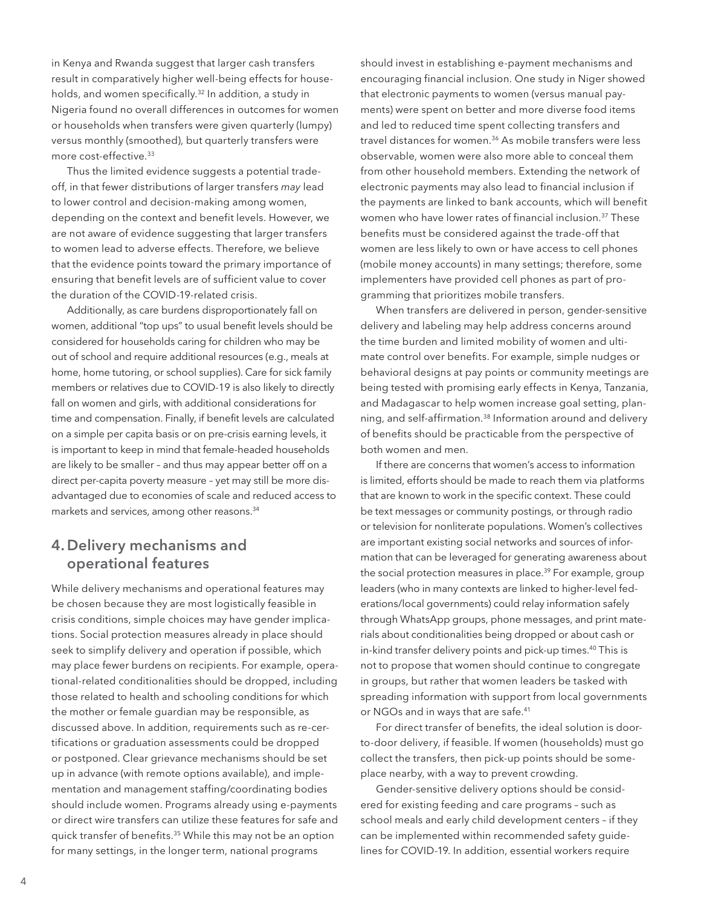<span id="page-3-0"></span>in Kenya and Rwanda suggest that larger cash transfers result in comparatively higher well-being effects for households, and women specifically.<sup>32</sup> In addition, a study in Nigeria found no overall differences in outcomes for women or households when transfers were given quarterly (lumpy) versus monthly (smoothed), but quarterly transfers were more cost-effective.[33](#page-7-0)

Thus the limited evidence suggests a potential tradeoff, in that fewer distributions of larger transfers *may* lead to lower control and decision-making among women, depending on the context and benefit levels. However, we are not aware of evidence suggesting that larger transfers to women lead to adverse effects. Therefore, we believe that the evidence points toward the primary importance of ensuring that benefit levels are of sufficient value to cover the duration of the COVID-19-related crisis.

Additionally, as care burdens disproportionately fall on women, additional "top ups" to usual benefit levels should be considered for households caring for children who may be out of school and require additional resources (e.g., meals at home, home tutoring, or school supplies). Care for sick family members or relatives due to COVID-19 is also likely to directly fall on women and girls, with additional considerations for time and compensation. Finally, if benefit levels are calculated on a simple per capita basis or on pre-crisis earning levels, it is important to keep in mind that female-headed households are likely to be smaller – and thus may appear better off on a direct per-capita poverty measure – yet may still be more disadvantaged due to economies of scale and reduced access to markets and services, among other reasons.[34](#page-7-0)

#### 4. Delivery mechanisms and operational features

While delivery mechanisms and operational features may be chosen because they are most logistically feasible in crisis conditions, simple choices may have gender implications. Social protection measures already in place should seek to simplify delivery and operation if possible, which may place fewer burdens on recipients. For example, operational-related conditionalities should be dropped, including those related to health and schooling conditions for which the mother or female guardian may be responsible, as discussed above. In addition, requirements such as re-certifications or graduation assessments could be dropped or postponed. Clear grievance mechanisms should be set up in advance (with remote options available), and implementation and management staffing/coordinating bodies should include women. Programs already using e-payments or direct wire transfers can utilize these features for safe and quick transfer of benefits.[35](#page-7-0) While this may not be an option for many settings, in the longer term, national programs

should invest in establishing e-payment mechanisms and encouraging financial inclusion. One study in Niger showed that electronic payments to women (versus manual payments) were spent on better and more diverse food items and led to reduced time spent collecting transfers and travel distances for women.<sup>36</sup> As mobile transfers were less observable, women were also more able to conceal them from other household members. Extending the network of electronic payments may also lead to financial inclusion if the payments are linked to bank accounts, which will benefit women who have lower rates of financial inclusion.<sup>37</sup> These benefits must be considered against the trade-off that women are less likely to own or have access to cell phones (mobile money accounts) in many settings; therefore, some implementers have provided cell phones as part of programming that prioritizes mobile transfers.

When transfers are delivered in person, gender-sensitive delivery and labeling may help address concerns around the time burden and limited mobility of women and ultimate control over benefits. For example, simple nudges or behavioral designs at pay points or community meetings are being tested with promising early effects in Kenya, Tanzania, and Madagascar to help women increase goal setting, planning, and self-affirmation[.38](#page-7-0) Information around and delivery of benefits should be practicable from the perspective of both women and men.

If there are concerns that women's access to information is limited, efforts should be made to reach them via platforms that are known to work in the specific context. These could be text messages or community postings, or through radio or television for nonliterate populations. Women's collectives are important existing social networks and sources of information that can be leveraged for generating awareness about the social protection measures in place.<sup>39</sup> For example, group leaders (who in many contexts are linked to higher-level federations/local governments) could relay information safely through WhatsApp groups, phone messages, and print materials about conditionalities being dropped or about cash or in-kind transfer delivery points and pick-up times[.40](#page-7-0) This is not to propose that women should continue to congregate in groups, but rather that women leaders be tasked with spreading information with support from local governments or NGOs and in ways that are safe.<sup>[41](#page-7-0)</sup>

For direct transfer of benefits, the ideal solution is doorto-door delivery, if feasible. If women (households) must go collect the transfers, then pick-up points should be someplace nearby, with a way to prevent crowding.

Gender-sensitive delivery options should be considered for existing feeding and care programs – such as school meals and early child development centers – if they can be implemented within recommended safety guidelines for COVID-19. In addition, essential workers require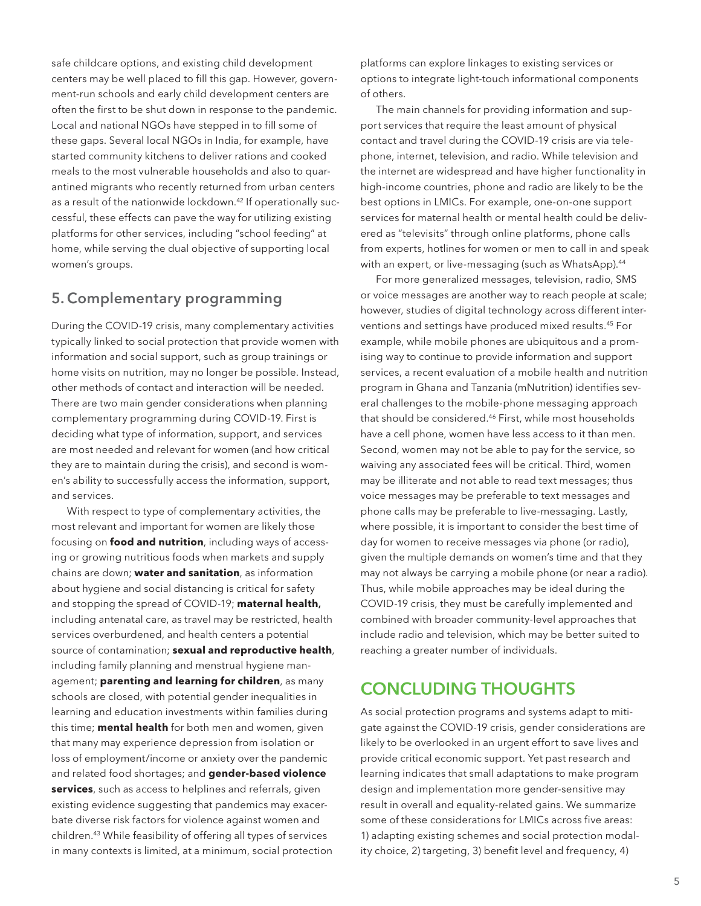<span id="page-4-0"></span>safe childcare options, and existing child development centers may be well placed to fill this gap. However, government-run schools and early child development centers are often the first to be shut down in response to the pandemic. Local and national NGOs have stepped in to fill some of these gaps. Several local NGOs in India, for example, have started community kitchens to deliver rations and cooked meals to the most vulnerable households and also to quarantined migrants who recently returned from urban centers as a result of the nationwide lockdown.<sup>42</sup> If operationally successful, these effects can pave the way for utilizing existing platforms for other services, including "school feeding" at home, while serving the dual objective of supporting local women's groups.

#### 5.Complementary programming

During the COVID-19 crisis, many complementary activities typically linked to social protection that provide women with information and social support, such as group trainings or home visits on nutrition, may no longer be possible. Instead, other methods of contact and interaction will be needed. There are two main gender considerations when planning complementary programming during COVID-19. First is deciding what type of information, support, and services are most needed and relevant for women (and how critical they are to maintain during the crisis), and second is women's ability to successfully access the information, support, and services.

With respect to type of complementary activities, the most relevant and important for women are likely those focusing on **food and nutrition**, including ways of accessing or growing nutritious foods when markets and supply chains are down; **water and sanitation**, as information about hygiene and social distancing is critical for safety and stopping the spread of COVID-19; **maternal health**, including antenatal care, as travel may be restricted, health services overburdened, and health centers a potential source of contamination; **sexual and reproductive health**, including family planning and menstrual hygiene management; **parenting and learning for children**, as many schools are closed, with potential gender inequalities in learning and education investments within families during this time; **mental health** for both men and women, given that many may experience depression from isolation or loss of employment/income or anxiety over the pandemic and related food shortages; and **gender-based violence services**, such as access to helplines and referrals, given existing evidence suggesting that pandemics may exacerbate diverse risk factors for violence against women and children.[43](#page-7-0) While feasibility of offering all types of services in many contexts is limited, at a minimum, social protection

platforms can explore linkages to existing services or options to integrate light-touch informational components of others.

The main channels for providing information and support services that require the least amount of physical contact and travel during the COVID-19 crisis are via telephone, internet, television, and radio. While television and the internet are widespread and have higher functionality in high-income countries, phone and radio are likely to be the best options in LMICs. For example, one-on-one support services for maternal health or mental health could be delivered as "televisits" through online platforms, phone calls from experts, hotlines for women or men to call in and speak with an expert, or live-messaging (such as WhatsApp).<sup>44</sup>

For more generalized messages, television, radio, SMS or voice messages are another way to reach people at scale; however, studies of digital technology across different interventions and settings have produced mixed results.[45](#page-7-0) For example, while mobile phones are ubiquitous and a promising way to continue to provide information and support services, a recent evaluation of a mobile health and nutrition program in Ghana and Tanzania (mNutrition) identifies several challenges to the mobile-phone messaging approach that should be considered.<sup>[46](#page-7-0)</sup> First, while most households have a cell phone, women have less access to it than men. Second, women may not be able to pay for the service, so waiving any associated fees will be critical. Third, women may be illiterate and not able to read text messages; thus voice messages may be preferable to text messages and phone calls may be preferable to live-messaging. Lastly, where possible, it is important to consider the best time of day for women to receive messages via phone (or radio), given the multiple demands on women's time and that they may not always be carrying a mobile phone (or near a radio). Thus, while mobile approaches may be ideal during the COVID-19 crisis, they must be carefully implemented and combined with broader community-level approaches that include radio and television, which may be better suited to reaching a greater number of individuals.

## CONCLUDING THOUGHTS

As social protection programs and systems adapt to mitigate against the COVID-19 crisis, gender considerations are likely to be overlooked in an urgent effort to save lives and provide critical economic support. Yet past research and learning indicates that small adaptations to make program design and implementation more gender-sensitive may result in overall and equality-related gains. We summarize some of these considerations for LMICs across five areas: 1) adapting existing schemes and social protection modality choice, 2) targeting, 3) benefit level and frequency, 4)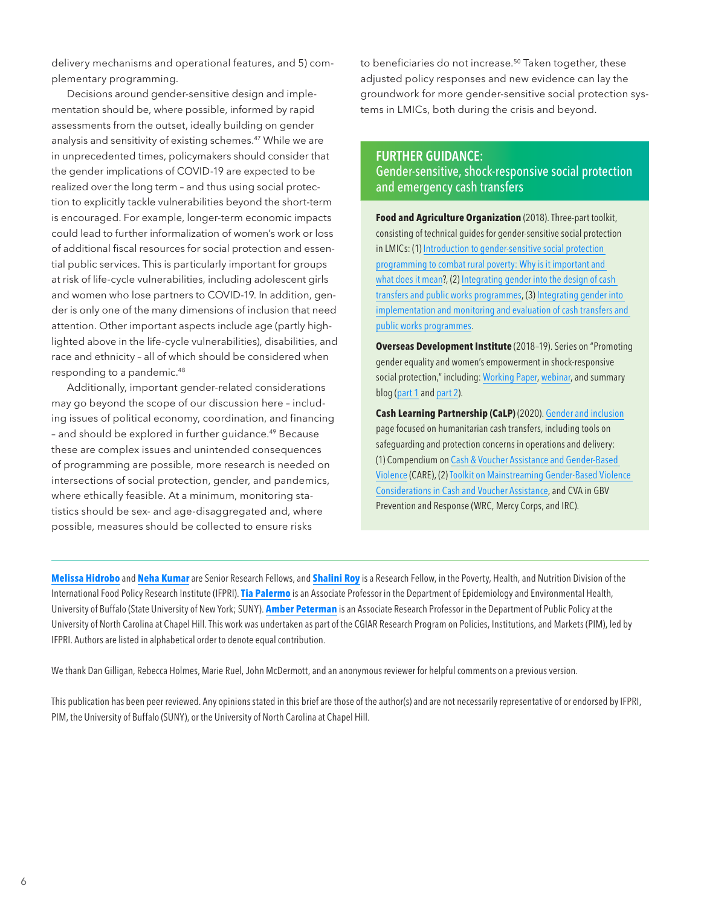<span id="page-5-0"></span>delivery mechanisms and operational features, and 5) complementary programming.

Decisions around gender-sensitive design and implementation should be, where possible, informed by rapid assessments from the outset, ideally building on gender analysis and sensitivity of existing schemes.<sup>47</sup> While we are in unprecedented times, policymakers should consider that the gender implications of COVID-19 are expected to be realized over the long term – and thus using social protection to explicitly tackle vulnerabilities beyond the short-term is encouraged. For example, longer-term economic impacts could lead to further informalization of women's work or loss of additional fiscal resources for social protection and essential public services. This is particularly important for groups at risk of life-cycle vulnerabilities, including adolescent girls and women who lose partners to COVID-19. In addition, gender is only one of the many dimensions of inclusion that need attention. Other important aspects include age (partly highlighted above in the life-cycle vulnerabilities), disabilities, and race and ethnicity – all of which should be considered when responding to a pandemic.<sup>[48](#page-7-0)</sup>

Additionally, important gender-related considerations may go beyond the scope of our discussion here – including issues of political economy, coordination, and financing - and should be explored in further guidance.<sup>49</sup> Because these are complex issues and unintended consequences of programming are possible, more research is needed on intersections of social protection, gender, and pandemics, where ethically feasible. At a minimum, monitoring statistics should be sex- and age-disaggregated and, where possible, measures should be collected to ensure risks

to beneficiaries do not increase.<sup>50</sup> Taken together, these adjusted policy responses and new evidence can lay the groundwork for more gender-sensitive social protection systems in LMICs, both during the crisis and beyond.

#### FURTHER GUIDANCE:

Gender-sensitive, shock-responsive social protection and emergency cash transfers

**Food and Agriculture Organization** (2018). Three-part toolkit, consisting of technical guides for gender-sensitive social protection in LMICs: (1) [Introduction to gender-sensitive social protection](http://www.fao.org/3/CA2026EN/ca2026en.pdf)  [programming to combat rural poverty: Why is it important and](http://www.fao.org/3/CA2026EN/ca2026en.pdf)  [what does it mean?](http://www.fao.org/3/CA2026EN/ca2026en.pdf), (2) [Integrating gender into the design of cash](http://www.fao.org/3/CA2038EN/ca2038en.pdf)  [transfers and public works programmes,](http://www.fao.org/3/CA2038EN/ca2038en.pdf) (3) [Integrating gender into](http://www.fao.org/3/CA2035EN/ca2035en.pdf)  [implementation and monitoring and evaluation of cash transfers and](http://www.fao.org/3/CA2035EN/ca2035en.pdf)  [public works programmes.](http://www.fao.org/3/CA2035EN/ca2035en.pdf)

**Overseas Development Institute** (2018–19). Series on "Promoting gender equality and women's empowerment in shock-responsive social protection," including: [Working Paper](https://www.odi.org/publications/11312-promoting-gender-equality-and-womens-empowerment-shock-sensitive-social-protection), [webinar](https://socialprotection.org/bringing-gender-perspective-shock-responsive-social-protection), and summary blog ([part 1](https://socialprotection.org/discover/blog/bringing-gender-perspective-shock-responsive-social-protection-part-1) and [part 2](https://socialprotection.org/discover/blog/bringing-gender-perspective-shock-responsive-social-protection-part-2)).

**Cash Learning Partnership (CaLP)** (2020). [Gender and inclusion](http://www.cashlearning.org/thematic-area/gender-and-ctp) page focused on humanitarian cash transfers, including tools on safeguarding and protection concerns in operations and delivery: (1) Compendium on [Cash & Voucher Assistance and Gender-Based](http://www.cashlearning.org/resources/library/1343-cash--voucher-assistance-and-gender--based-violence-compendium?keywords=®ion=all&country=all&year=all&organisation=all§or=all&modality=all&language=all&payment_method=all&document_type=all&searched=1)  [Violence](http://www.cashlearning.org/resources/library/1343-cash--voucher-assistance-and-gender--based-violence-compendium?keywords=®ion=all&country=all&year=all&organisation=all§or=all&modality=all&language=all&payment_method=all&document_type=all&searched=1) (CARE), (2) [Toolkit on Mainstreaming Gender-Based Violence](https://www.womensrefugeecommission.org/issues/livelihoods/research-and-resources/1549-mainstreaming-gbv-considerations-in-cbis-and-utilizing-cash-in-gbv-response)  [Considerations in Cash and Voucher Assistance,](https://www.womensrefugeecommission.org/issues/livelihoods/research-and-resources/1549-mainstreaming-gbv-considerations-in-cbis-and-utilizing-cash-in-gbv-response) and CVA in GBV Prevention and Response (WRC, Mercy Corps, and IRC).

**[Melissa Hidrobo](https://www.ifpri.org/profile/melissa-hidrobo)** and **[Neha Kumar](https://www.ifpri.org/profile/neha-kumar)** are Senior Research Fellows, and **[Shalini Roy](https://www.ifpri.org/profile/shalini-roy)** is a Research Fellow, in the Poverty, Health, and Nutrition Division of the International Food Policy Research Institute (IFPRI). **[Tia Palermo](http://sphhp.buffalo.edu/epidemiology-and-environmental-health/faculty-and-staff/faculty-directory/tiapaler.html)** is an Associate Professor in the Department of Epidemiology and Environmental Health, University of Buffalo (State University of New York; SUNY). **[Amber Peterman](https://www.amberpeterman.com/)** is an Associate Research Professor in the Department of Public Policy at the University of North Carolina at Chapel Hill. This work was undertaken as part of the CGIAR Research Program on Policies, Institutions, and Markets (PIM), led by IFPRI. Authors are listed in alphabetical order to denote equal contribution.

We thank Dan Gilligan, Rebecca Holmes, Marie Ruel, John McDermott, and an anonymous reviewer for helpful comments on a previous version.

This publication has been peer reviewed. Any opinions stated in this brief are those of the author(s) and are not necessarily representative of or endorsed by IFPRI, PIM, the University of Buffalo (SUNY), or the University of North Carolina at Chapel Hill.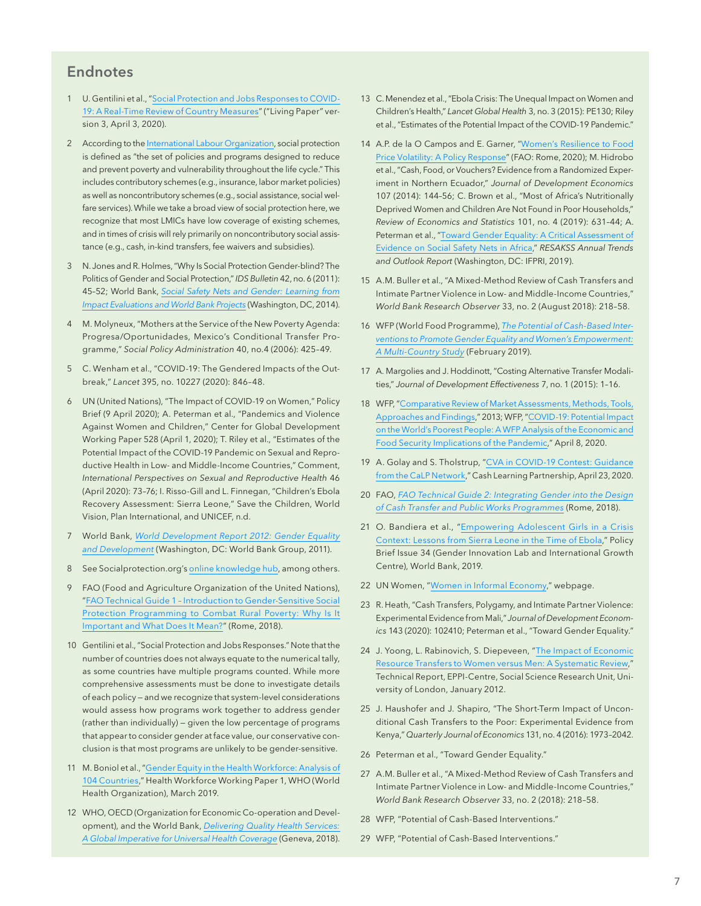#### <span id="page-6-0"></span>**Endnotes**

- [1](#page-0-0) U. Gentilini et al., "[Social Protection and Jobs Responses to COVID-](http://www.ugogentilini.net/wp-content/uploads/2020/04/Country-social-protection-COVID-responses_April3-1.pdf)[19: A Real-Time Review of Country Measures](http://www.ugogentilini.net/wp-content/uploads/2020/04/Country-social-protection-COVID-responses_April3-1.pdf)" ("Living Paper" version 3, April 3, 2020).
- [2](#page-0-0) According to the [International Labour Organization](https://www.ilo.org/wcmsp5/groups/public/---dgreports/---dcomm/---publ/documents/publication/wcms_604882.pdf), social protection is defined as "the set of policies and programs designed to reduce and prevent poverty and vulnerability throughout the life cycle." This includes contributory schemes (e.g., insurance, labor market policies) as well as noncontributory schemes (e.g., social assistance, social welfare services). While we take a broad view of social protection here, we recognize that most LMICs have low coverage of existing schemes, and in times of crisis will rely primarily on noncontributory social assistance (e.g., cash, in-kind transfers, fee waivers and subsidies).
- [3](#page-0-0) N. Jones and R. Holmes, "Why Is Social Protection Gender-blind? The Politics of Gender and Social Protection," *IDS Bulletin* 42, no. 6 (2011): 45–52; World Bank, *[Social Safety Nets and Gender: Learning from](https://ieg.worldbankgroup.org/sites/default/files/Data/reports/ssn-gender-ie-full-report.pdf) [Impact Evaluations and World Bank Projects](https://ieg.worldbankgroup.org/sites/default/files/Data/reports/ssn-gender-ie-full-report.pdf)* (Washington, DC, 2014).
- [4](#page-0-0) M. Molyneux, "Mothers at the Service of the New Poverty Agenda: Progresa/Oportunidades, Mexico's Conditional Transfer Programme," *Social Policy Administration* 40, no.4 (2006): 425–49.
- [5](#page-0-0) C. Wenham et al., "COVID-19: The Gendered Impacts of the Outbreak," *Lancet* 395, no. 10227 (2020): 846–48.
- [6](#page-0-0) UN (United Nations), "The Impact of COVID-19 on Women," Policy Brief (9 April 2020); A. Peterman et al., "Pandemics and Violence Against Women and Children," Center for Global Development Working Paper 528 (April 1, 2020); T. Riley et al., "Estimates of the Potential Impact of the COVID-19 Pandemic on Sexual and Reproductive Health in Low- and Middle-Income Countries," Comment, *International Perspectives on Sexual and Reproductive Health* 46 (April 2020): 73–76; I. Risso-Gill and L. Finnegan, "Children's Ebola Recovery Assessment: Sierra Leone," Save the Children, World Vision, Plan International, and UNICEF, n.d.
- [7](#page-0-0) World Bank, *[World Development Report 2012: Gender Equality](http://documents.worldbank.org/curated/en/492221468136792185/Main-report)  [and Development](http://documents.worldbank.org/curated/en/492221468136792185/Main-report)* (Washington, DC: World Bank Group, 2011).
- [8](#page-0-0) See Socialprotection.org's [online knowledge hub,](https://socialprotection.org/connect/communities/social-protection-responses-covid-19-task-force) among others.
- [9](#page-1-0) FAO (Food and Agriculture Organization of the United Nations), "[FAO Technical Guide 1 – Introduction to Gender-Sensitive Social](http://www.fao.org/social-protection/resources/resources-detail/en/c/1170231/)  [Protection Programming to Combat Rural Poverty: Why Is It](http://www.fao.org/social-protection/resources/resources-detail/en/c/1170231/) [Important and What Does It Mean?"](http://www.fao.org/social-protection/resources/resources-detail/en/c/1170231/) (Rome, 2018).
- [10](#page-1-0) Gentilini et al., "Social Protection and Jobs Responses." Note that the number of countries does not always equate to the numerical tally, as some countries have multiple programs counted. While more comprehensive assessments must be done to investigate details of each policy — and we recognize that system-level considerations would assess how programs work together to address gender (rather than individually) — given the low percentage of programs that appear to consider gender at face value, our conservative conclusion is that most programs are unlikely to be gender-sensitive.
- [11](#page-1-0) M. Boniol et al., ["Gender Equity in the Health Workforce: Analysis of](https://apps.who.int/iris/bitstream/handle/10665/311314/WHO-HIS-HWF-Gender-WP1-2019.1-eng.pdf) [104 Countries](https://apps.who.int/iris/bitstream/handle/10665/311314/WHO-HIS-HWF-Gender-WP1-2019.1-eng.pdf)," Health Workforce Working Paper 1, WHO (World Health Organization), March 2019.
- [12](#page-1-0) WHO, OECD (Organization for Economic Co-operation and Development), and the World Bank, *[Delivering Quality Health Services:](http://documents.worldbank.org/curated/en/482771530290792652/pdf/127816-REVISED-quality-joint-publication-July2018-Complete-vignettes-ebook-L.pdf) [A Global Imperative for Universal Health Coverage](http://documents.worldbank.org/curated/en/482771530290792652/pdf/127816-REVISED-quality-joint-publication-July2018-Complete-vignettes-ebook-L.pdf)* (Geneva, 2018).
- [13](#page-1-0) C. Menendez et al., "Ebola Crisis: The Unequal Impact on Women and Children's Health," *Lancet Global Health* 3, no. 3 (2015): PE130; Riley et al., "Estimates of the Potential Impact of the COVID-19 Pandemic."
- [14](#page-1-0) A.P. de la O Campos and E. Garner, ["Women's Resilience to Food](http://www.fao.org/3/i3617e/i3617e.pdf)  [Price Volatility: A Policy Response](http://www.fao.org/3/i3617e/i3617e.pdf)" (FAO: Rome, 2020); M. Hidrobo et al., "Cash, Food, or Vouchers? Evidence from a Randomized Experiment in Northern Ecuador," *Journal of Development Economics* 107 (2014): 144–56; C. Brown et al., "Most of Africa's Nutritionally Deprived Women and Children Are Not Found in Poor Households," *Review of Economics and Statistics* 101, no. 4 (2019): 631–44; A. Peterman et al., ["Toward Gender Equality: A Critical Assessment of](http://ebrary.ifpri.org/utils/getfile/collection/p15738coll2/id/133465/filename/133682.pdf)  [Evidence on Social Safety Nets in Africa](http://ebrary.ifpri.org/utils/getfile/collection/p15738coll2/id/133465/filename/133682.pdf)," *RESAKSS Annual Trends and Outlook Report* (Washington, DC: IFPRI, 2019).
- [15](#page-1-0) A.M. Buller et al., "A Mixed-Method Review of Cash Transfers and Intimate Partner Violence in Low- and Middle-Income Countries," *World Bank Research Observer* 33, no. 2 (August 2018): 218–58.
- [16](#page-1-0) WFP (World Food Programme), *[The Potential of Cash-Based Inter](https://docs.wfp.org/api/documents/WFP-0000102755/download/)[ventions to Promote Gender Equality and Women's Empowerment:](https://docs.wfp.org/api/documents/WFP-0000102755/download/)  [A Multi-Country Study](https://docs.wfp.org/api/documents/WFP-0000102755/download/)* (February 2019).
- [17](#page-1-0) A. Margolies and J. Hoddinott, "Costing Alternative Transfer Modalities," *Journal of Development Effectiveness* 7, no. 1 (2015): 1–16.
- [18](#page-1-0) WFP, ["Comparative Review of Market Assessments, Methods, Tools,](https://documents.wfp.org/stellent/groups/public/documents/manual_guide_proced/wfp259756.pdf)  [Approaches and Findings](https://documents.wfp.org/stellent/groups/public/documents/manual_guide_proced/wfp259756.pdf)," 2013; WFP, "[COVID-19: Potential Impact](https://www.wfp.org/publications/covid-19-potential-impact-worlds-poorest-people)  [on the World's Poorest People: A WFP Analysis of the Economic and](https://www.wfp.org/publications/covid-19-potential-impact-worlds-poorest-people)  [Food Security Implications of the Pandemic](https://www.wfp.org/publications/covid-19-potential-impact-worlds-poorest-people)," April 8, 2020.
- [19](#page-2-0) A. Golay and S. Tholstrup, "[CVA in COVID-19 Contest: Guidance](https://www.calpnetwork.org/publication/cva-in-covid-19-contexts-guidance-from-the-calp-network/)  [from the CaLP Network,](https://www.calpnetwork.org/publication/cva-in-covid-19-contexts-guidance-from-the-calp-network/)" Cash Learning Partnership, April 23, 2020.
- [20](#page-2-0) FAO, *[FAO Technical Guide 2: Integrating Gender into the Design](http://www.fao.org/3/CA2038EN/ca2038en.pdf)  [of Cash Transfer and Public Works Programmes](http://www.fao.org/3/CA2038EN/ca2038en.pdf)* (Rome, 2018).
- [21](#page-2-0) O. Bandiera et al., "[Empowering Adolescent Girls in a Crisis](http://documents.worldbank.org/curated/en/848841562216765266/Empowering-Adolescent-Girls-in-a-Crisis-Context-Lessons-from-Sierra-Leone-in-the-Time-of-Ebola)  [Context: Lessons from Sierra Leone in the Time of Ebola](http://documents.worldbank.org/curated/en/848841562216765266/Empowering-Adolescent-Girls-in-a-Crisis-Context-Lessons-from-Sierra-Leone-in-the-Time-of-Ebola)," Policy Brief Issue 34 (Gender Innovation Lab and International Growth Centre), World Bank, 2019.
- [22](#page-2-0) UN Women, "[Women in Informal Economy](https://www.unwomen.org/en/news/in-focus/csw61/women-in-informal-economy)," webpage.
- [23](#page-2-0) R. Heath, "Cash Transfers, Polygamy, and Intimate Partner Violence: Experimental Evidence from Mali," *Journal of Development Economics* 143 (2020): 102410; Peterman et al., "Toward Gender Equality."
- [24](#page-2-0) J. Yoong, L. Rabinovich, S. Diepeveen, "[The Impact of Economic](https://eppi.ioe.ac.uk/cms/Default.aspx?tabid=3306)  [Resource Transfers to Women versus Men: A Systematic Review,](https://eppi.ioe.ac.uk/cms/Default.aspx?tabid=3306) Technical Report, EPPI-Centre, Social Science Research Unit, University of London, January 2012.
- [25](#page-2-0) J. Haushofer and J. Shapiro, "The Short-Term Impact of Unconditional Cash Transfers to the Poor: Experimental Evidence from Kenya," *Quarterly Journal of Economics* 131, no. 4 (2016): 1973–2042.
- [26](#page-2-0) Peterman et al., "Toward Gender Equality."
- [27](#page-2-0) A.M. Buller et al., "A Mixed-Method Review of Cash Transfers and Intimate Partner Violence in Low- and Middle-Income Countries," *World Bank Research Observer* 33, no. 2 (2018): 218–58.
- [28](#page-2-0) WFP, "Potential of Cash-Based Interventions."
- [29](#page-2-0) WFP, "Potential of Cash-Based Interventions."